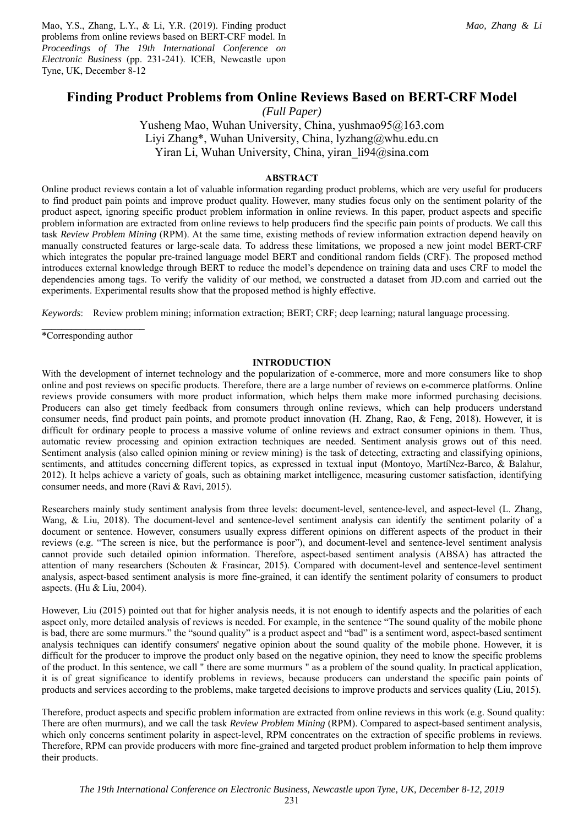Mao, Y.S., Zhang, L.Y., & Li, Y.R. (2019). Finding product problems from online reviews based on BERT-CRF model. In *Proceedings of The 19th International Conference on Electronic Business* (pp. 231-241). ICEB, Newcastle upon Tyne, UK, December 8-12

# **Finding Product Problems from Online Reviews Based on BERT-CRF Model**

*(Full Paper)* 

Yusheng Mao, Wuhan University, China, yushmao95@163.com Liyi Zhang\*, Wuhan University, China, lyzhang@whu.edu.cn Yiran Li, Wuhan University, China, yiran li94@sina.com

### **ABSTRACT**

Online product reviews contain a lot of valuable information regarding product problems, which are very useful for producers to find product pain points and improve product quality. However, many studies focus only on the sentiment polarity of the product aspect, ignoring specific product problem information in online reviews. In this paper, product aspects and specific problem information are extracted from online reviews to help producers find the specific pain points of products. We call this task *Review Problem Mining* (RPM). At the same time, existing methods of review information extraction depend heavily on manually constructed features or large-scale data. To address these limitations, we proposed a new joint model BERT-CRF which integrates the popular pre-trained language model BERT and conditional random fields (CRF). The proposed method introduces external knowledge through BERT to reduce the model's dependence on training data and uses CRF to model the dependencies among tags. To verify the validity of our method, we constructed a dataset from JD.com and carried out the experiments. Experimental results show that the proposed method is highly effective.

*Keywords*: Review problem mining; information extraction; BERT; CRF; deep learning; natural language processing.

\*Corresponding author

## **INTRODUCTION**

With the development of internet technology and the popularization of e-commerce, more and more consumers like to shop online and post reviews on specific products. Therefore, there are a large number of reviews on e-commerce platforms. Online reviews provide consumers with more product information, which helps them make more informed purchasing decisions. Producers can also get timely feedback from consumers through online reviews, which can help producers understand consumer needs, find product pain points, and promote product innovation (H. Zhang, Rao, & Feng, 2018). However, it is difficult for ordinary people to process a massive volume of online reviews and extract consumer opinions in them. Thus, automatic review processing and opinion extraction techniques are needed. Sentiment analysis grows out of this need. Sentiment analysis (also called opinion mining or review mining) is the task of detecting, extracting and classifying opinions, sentiments, and attitudes concerning different topics, as expressed in textual input (Montoyo, MartíNez-Barco, & Balahur, 2012). It helps achieve a variety of goals, such as obtaining market intelligence, measuring customer satisfaction, identifying consumer needs, and more (Ravi & Ravi, 2015).

Researchers mainly study sentiment analysis from three levels: document-level, sentence-level, and aspect-level (L. Zhang, Wang, & Liu, 2018). The document-level and sentence-level sentiment analysis can identify the sentiment polarity of a document or sentence. However, consumers usually express different opinions on different aspects of the product in their reviews (e.g. "The screen is nice, but the performance is poor"), and document-level and sentence-level sentiment analysis cannot provide such detailed opinion information. Therefore, aspect-based sentiment analysis (ABSA) has attracted the attention of many researchers (Schouten & Frasincar, 2015). Compared with document-level and sentence-level sentiment analysis, aspect-based sentiment analysis is more fine-grained, it can identify the sentiment polarity of consumers to product aspects. (Hu & Liu, 2004).

However, Liu (2015) pointed out that for higher analysis needs, it is not enough to identify aspects and the polarities of each aspect only, more detailed analysis of reviews is needed. For example, in the sentence "The sound quality of the mobile phone is bad, there are some murmurs." the "sound quality" is a product aspect and "bad" is a sentiment word, aspect-based sentiment analysis techniques can identify consumers' negative opinion about the sound quality of the mobile phone. However, it is difficult for the producer to improve the product only based on the negative opinion, they need to know the specific problems of the product. In this sentence, we call " there are some murmurs " as a problem of the sound quality. In practical application, it is of great significance to identify problems in reviews, because producers can understand the specific pain points of products and services according to the problems, make targeted decisions to improve products and services quality (Liu, 2015).

Therefore, product aspects and specific problem information are extracted from online reviews in this work (e.g. Sound quality: There are often murmurs), and we call the task *Review Problem Mining* (RPM). Compared to aspect-based sentiment analysis, which only concerns sentiment polarity in aspect-level, RPM concentrates on the extraction of specific problems in reviews. Therefore, RPM can provide producers with more fine-grained and targeted product problem information to help them improve their products.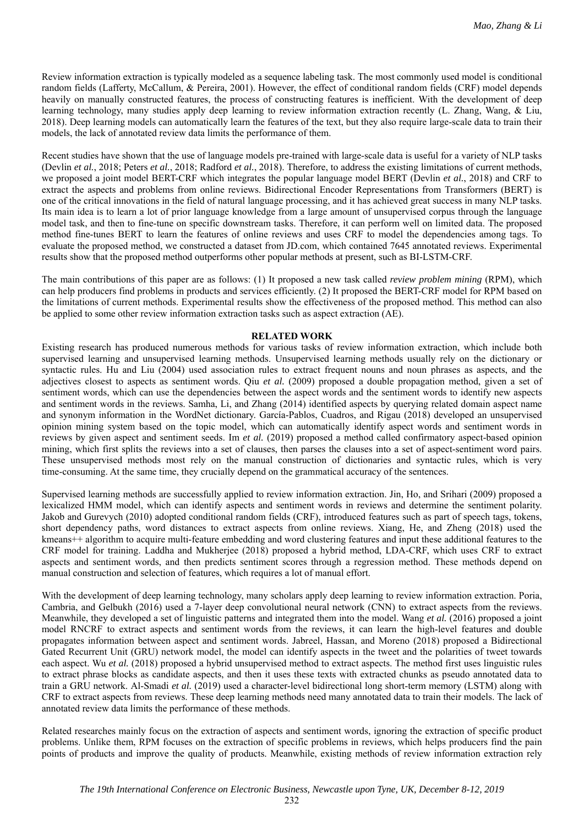Review information extraction is typically modeled as a sequence labeling task. The most commonly used model is conditional random fields (Lafferty, McCallum, & Pereira, 2001). However, the effect of conditional random fields (CRF) model depends heavily on manually constructed features, the process of constructing features is inefficient. With the development of deep learning technology, many studies apply deep learning to review information extraction recently (L. Zhang, Wang, & Liu, 2018). Deep learning models can automatically learn the features of the text, but they also require large-scale data to train their models, the lack of annotated review data limits the performance of them.

Recent studies have shown that the use of language models pre-trained with large-scale data is useful for a variety of NLP tasks (Devlin *et al.*, 2018; Peters *et al.*, 2018; Radford *et al.*, 2018). Therefore, to address the existing limitations of current methods, we proposed a joint model BERT-CRF which integrates the popular language model BERT (Devlin *et al.*, 2018) and CRF to extract the aspects and problems from online reviews. Bidirectional Encoder Representations from Transformers (BERT) is one of the critical innovations in the field of natural language processing, and it has achieved great success in many NLP tasks. Its main idea is to learn a lot of prior language knowledge from a large amount of unsupervised corpus through the language model task, and then to fine-tune on specific downstream tasks. Therefore, it can perform well on limited data. The proposed method fine-tunes BERT to learn the features of online reviews and uses CRF to model the dependencies among tags. To evaluate the proposed method, we constructed a dataset from JD.com, which contained 7645 annotated reviews. Experimental results show that the proposed method outperforms other popular methods at present, such as BI-LSTM-CRF.

The main contributions of this paper are as follows: (1) It proposed a new task called *review problem mining* (RPM), which can help producers find problems in products and services efficiently. (2) It proposed the BERT-CRF model for RPM based on the limitations of current methods. Experimental results show the effectiveness of the proposed method. This method can also be applied to some other review information extraction tasks such as aspect extraction (AE).

### **RELATED WORK**

Existing research has produced numerous methods for various tasks of review information extraction, which include both supervised learning and unsupervised learning methods. Unsupervised learning methods usually rely on the dictionary or syntactic rules. Hu and Liu (2004) used association rules to extract frequent nouns and noun phrases as aspects, and the adjectives closest to aspects as sentiment words. Qiu *et al.* (2009) proposed a double propagation method, given a set of sentiment words, which can use the dependencies between the aspect words and the sentiment words to identify new aspects and sentiment words in the reviews. Samha, Li, and Zhang (2014) identified aspects by querying related domain aspect name and synonym information in the WordNet dictionary. García-Pablos, Cuadros, and Rigau (2018) developed an unsupervised opinion mining system based on the topic model, which can automatically identify aspect words and sentiment words in reviews by given aspect and sentiment seeds. Im *et al.* (2019) proposed a method called confirmatory aspect-based opinion mining, which first splits the reviews into a set of clauses, then parses the clauses into a set of aspect-sentiment word pairs. These unsupervised methods most rely on the manual construction of dictionaries and syntactic rules, which is very time-consuming. At the same time, they crucially depend on the grammatical accuracy of the sentences.

Supervised learning methods are successfully applied to review information extraction. Jin, Ho, and Srihari (2009) proposed a lexicalized HMM model, which can identify aspects and sentiment words in reviews and determine the sentiment polarity. Jakob and Gurevych (2010) adopted conditional random fields (CRF), introduced features such as part of speech tags, tokens, short dependency paths, word distances to extract aspects from online reviews. Xiang, He, and Zheng (2018) used the kmeans++ algorithm to acquire multi-feature embedding and word clustering features and input these additional features to the CRF model for training. Laddha and Mukherjee (2018) proposed a hybrid method, LDA-CRF, which uses CRF to extract aspects and sentiment words, and then predicts sentiment scores through a regression method. These methods depend on manual construction and selection of features, which requires a lot of manual effort.

With the development of deep learning technology, many scholars apply deep learning to review information extraction. Poria, Cambria, and Gelbukh (2016) used a 7-layer deep convolutional neural network (CNN) to extract aspects from the reviews. Meanwhile, they developed a set of linguistic patterns and integrated them into the model. Wang *et al.* (2016) proposed a joint model RNCRF to extract aspects and sentiment words from the reviews, it can learn the high-level features and double propagates information between aspect and sentiment words. Jabreel, Hassan, and Moreno (2018) proposed a Bidirectional Gated Recurrent Unit (GRU) network model, the model can identify aspects in the tweet and the polarities of tweet towards each aspect. Wu *et al.* (2018) proposed a hybrid unsupervised method to extract aspects. The method first uses linguistic rules to extract phrase blocks as candidate aspects, and then it uses these texts with extracted chunks as pseudo annotated data to train a GRU network. Al-Smadi *et al.* (2019) used a character-level bidirectional long short-term memory (LSTM) along with CRF to extract aspects from reviews. These deep learning methods need many annotated data to train their models. The lack of annotated review data limits the performance of these methods.

Related researches mainly focus on the extraction of aspects and sentiment words, ignoring the extraction of specific product problems. Unlike them, RPM focuses on the extraction of specific problems in reviews, which helps producers find the pain points of products and improve the quality of products. Meanwhile, existing methods of review information extraction rely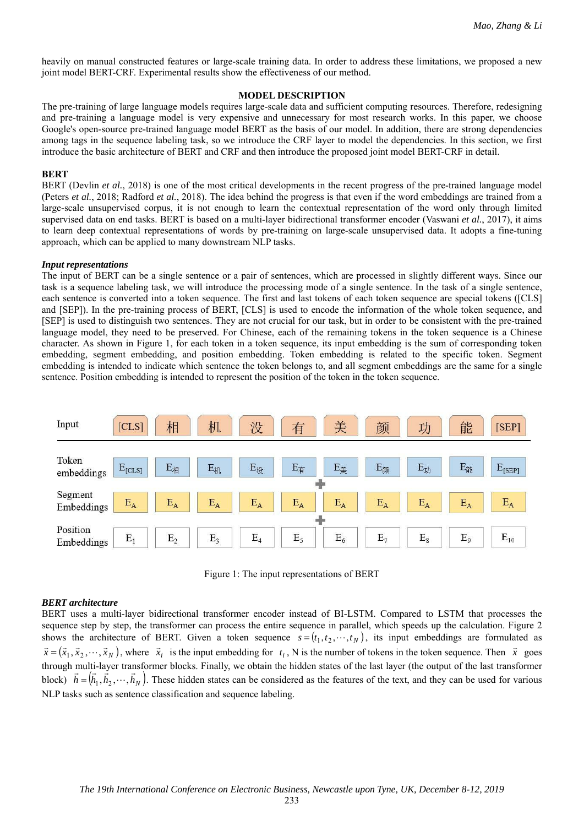heavily on manual constructed features or large-scale training data. In order to address these limitations, we proposed a new joint model BERT-CRF. Experimental results show the effectiveness of our method.

## **MODEL DESCRIPTION**

The pre-training of large language models requires large-scale data and sufficient computing resources. Therefore, redesigning and pre-training a language model is very expensive and unnecessary for most research works. In this paper, we choose Google's open-source pre-trained language model BERT as the basis of our model. In addition, there are strong dependencies among tags in the sequence labeling task, so we introduce the CRF layer to model the dependencies. In this section, we first introduce the basic architecture of BERT and CRF and then introduce the proposed joint model BERT-CRF in detail.

### **BERT**

BERT (Devlin *et al.*, 2018) is one of the most critical developments in the recent progress of the pre-trained language model (Peters *et al.*, 2018; Radford *et al.*, 2018). The idea behind the progress is that even if the word embeddings are trained from a large-scale unsupervised corpus, it is not enough to learn the contextual representation of the word only through limited supervised data on end tasks. BERT is based on a multi-layer bidirectional transformer encoder (Vaswani *et al.*, 2017), it aims to learn deep contextual representations of words by pre-training on large-scale unsupervised data. It adopts a fine-tuning approach, which can be applied to many downstream NLP tasks.

### *Input representations*

The input of BERT can be a single sentence or a pair of sentences, which are processed in slightly different ways. Since our task is a sequence labeling task, we will introduce the processing mode of a single sentence. In the task of a single sentence, each sentence is converted into a token sequence. The first and last tokens of each token sequence are special tokens ([CLS] and [SEP]). In the pre-training process of BERT, [CLS] is used to encode the information of the whole token sequence, and [SEP] is used to distinguish two sentences. They are not crucial for our task, but in order to be consistent with the pre-trained language model, they need to be preserved. For Chinese, each of the remaining tokens in the token sequence is a Chinese character. As shown in Figure 1, for each token in a token sequence, its input embedding is the sum of corresponding token embedding, segment embedding, and position embedding. Token embedding is related to the specific token. Segment embedding is intended to indicate which sentence the token belongs to, and all segment embeddings are the same for a single sentence. Position embedding is intended to represent the position of the token in the token sequence.



Figure 1: The input representations of BERT

## *BERT architecture*

BERT uses a multi-layer bidirectional transformer encoder instead of BI-LSTM. Compared to LSTM that processes the sequence step by step, the transformer can process the entire sequence in parallel, which speeds up the calculation. Figure 2 shows the architecture of BERT. Given a token sequence  $s = (t_1, t_2, \dots, t_N)$ , its input embeddings are formulated as  $\vec{x} = (\vec{x}_1, \vec{x}_2, \dots, \vec{x}_N)$ , where  $\vec{x}_i$  is the input embedding for  $t_i$ , N is the number of tokens in the token sequence. Then  $\vec{x}$  goes through multi-layer transformer blocks. Finally, we obtain the hidden states of the last layer (the output of the last transformer block)  $\vec{h} = (\vec{h}_1, \vec{h}_2, \dots, \vec{h}_N)$ . These hidden states can be considered as the features of the text, and they can be used for various NLP tasks such as sentence classification and sequence labeling.

233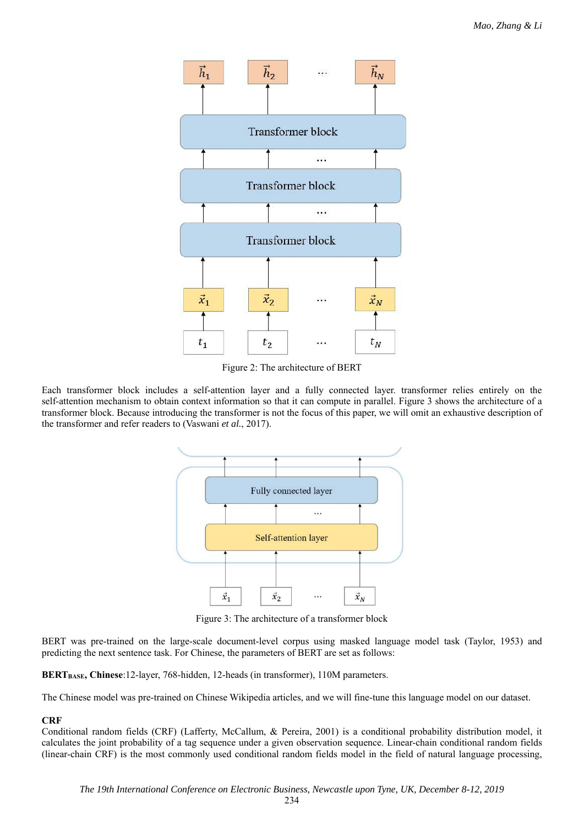

Figure 2: The architecture of BERT

Each transformer block includes a self-attention layer and a fully connected layer. transformer relies entirely on the self-attention mechanism to obtain context information so that it can compute in parallel. Figure 3 shows the architecture of a transformer block. Because introducing the transformer is not the focus of this paper, we will omit an exhaustive description of the transformer and refer readers to (Vaswani *et al.*, 2017).



Figure 3: The architecture of a transformer block

BERT was pre-trained on the large-scale document-level corpus using masked language model task (Taylor, 1953) and predicting the next sentence task. For Chinese, the parameters of BERT are set as follows:

**BERTBASE, Chinese**:12-layer, 768-hidden, 12-heads (in transformer), 110M parameters.

The Chinese model was pre-trained on Chinese Wikipedia articles, and we will fine-tune this language model on our dataset.

## **CRF**

Conditional random fields (CRF) (Lafferty, McCallum, & Pereira, 2001) is a conditional probability distribution model, it calculates the joint probability of a tag sequence under a given observation sequence. Linear-chain conditional random fields (linear-chain CRF) is the most commonly used conditional random fields model in the field of natural language processing,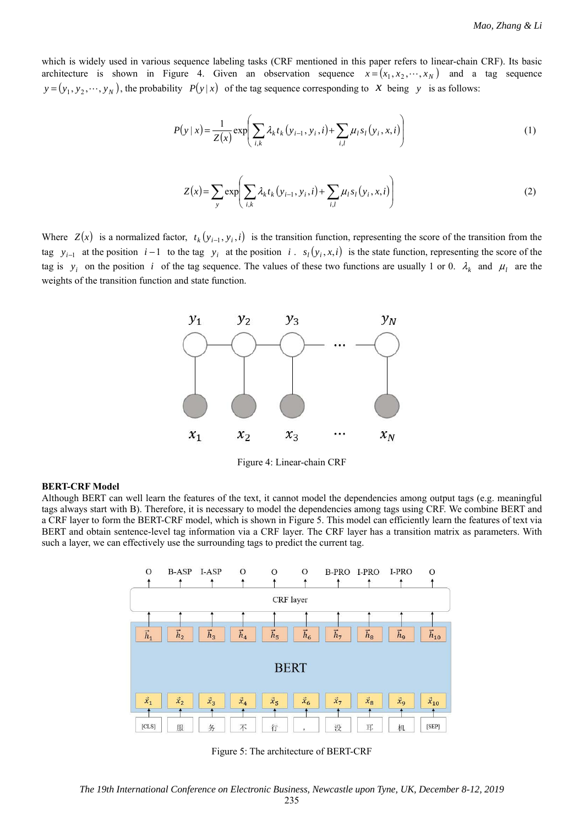which is widely used in various sequence labeling tasks (CRF mentioned in this paper refers to linear-chain CRF). Its basic architecture is shown in Figure 4. Given an observation sequence  $x = (x_1, x_2, \dots, x_N)$  and a tag sequence  $y = (y_1, y_2, \dots, y_N)$ , the probability  $P(y|x)$  of the tag sequence corresponding to *x* being *y* is as follows:

$$
P(y \mid x) = \frac{1}{Z(x)} \exp\left(\sum_{i,k} \lambda_k t_k (y_{i-1}, y_i, i) + \sum_{i,l} \mu_l s_l (y_i, x, i)\right)
$$
(1)

$$
Z(x) = \sum_{y} \exp\left(\sum_{i,k} \lambda_{k} t_{k} (y_{i-1}, y_{i}, i) + \sum_{i,l} \mu_{l} s_{l} (y_{i}, x, i)\right)
$$
(2)

Where  $Z(x)$  is a normalized factor,  $t_k(y_{i-1}, y_i, i)$  is the transition function, representing the score of the transition from the tag  $y_{i-1}$  at the position  $i-1$  to the tag  $y_i$  at the position  $i$ .  $s_i(y_i, x, i)$  is the state function, representing the score of the tag is  $y_i$  on the position *i* of the tag sequence. The values of these two functions are usually 1 or 0.  $\lambda_k$  and  $\mu_l$  are the weights of the transition function and state function.



Figure 4: Linear-chain CRF

#### **BERT-CRF Model**

Although BERT can well learn the features of the text, it cannot model the dependencies among output tags (e.g. meaningful tags always start with B). Therefore, it is necessary to model the dependencies among tags using CRF. We combine BERT and a CRF layer to form the BERT-CRF model, which is shown in Figure 5. This model can efficiently learn the features of text via BERT and obtain sentence-level tag information via a CRF layer. The CRF layer has a transition matrix as parameters. With such a layer, we can effectively use the surrounding tags to predict the current tag.



Figure 5: The architecture of BERT-CRF

*The 19th International Conference on Electronic Business, Newcastle upon Tyne, UK, December 8-12, 2019*  235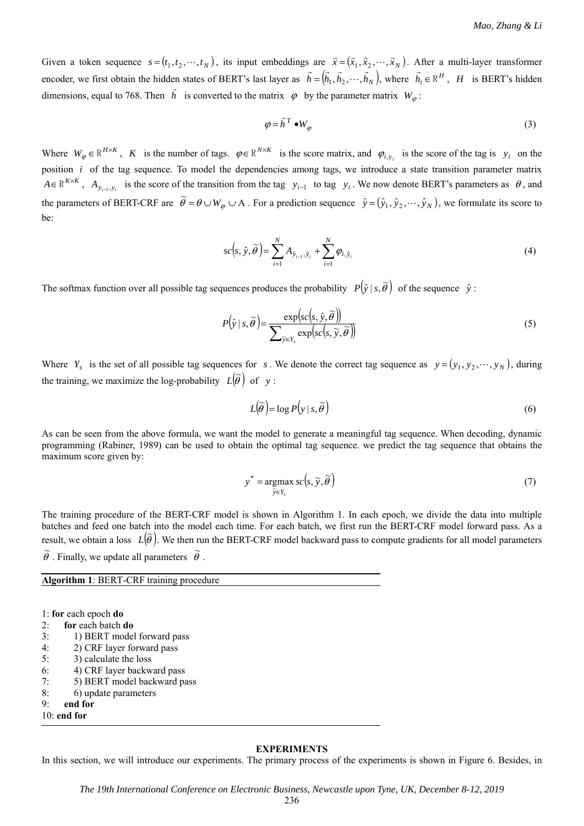Given a token sequence  $s = (t_1, t_2, \dots, t_N)$ , its input embeddings are  $\vec{x} = (\vec{x}_1, \vec{x}_2, \dots, \vec{x}_N)$ . After a multi-layer transformer encoder, we first obtain the hidden states of BERT's last layer as  $\vec{h} = (\vec{h}_1, \vec{h}_2, \dots, \vec{h}_N)$ , where  $\vec{h}_i \in \mathbb{R}^H$ , *H* is BERT's hidden dimensions, equal to 768. Then *h*  $\overline{\phantom{a}}$ is converted to the matrix  $\varphi$  by the parameter matrix  $W_{\varphi}$ :

$$
\varphi = \vec{h}^{\mathrm{T}} \bullet W_{\varphi} \tag{3}
$$

Where  $W_{\varphi} \in \mathbb{R}^{H \times K}$ , *K* is the number of tags.  $\varphi \in \mathbb{R}^{N \times K}$  is the score matrix, and  $\varphi_{i, y_i}$  is the score of the tag is  $y_i$  on the position *i* of the tag sequence. To model the dependencies among tags, we introduce a state transition parameter matrix  $A \in \mathbb{R}^{K \times K}$ ,  $A_{y_{i-1}, y_i}$  is the score of the transition from the tag  $y_{i-1}$  to tag  $y_i$ . We now denote BERT's parameters as  $\theta$ , and the parameters of BERT-CRF are  $\tilde{\theta} = \theta \cup W_{\varphi} \cup A$ . For a prediction sequence  $\hat{y} = (\hat{y}_1, \hat{y}_2, \dots, \hat{y}_N)$ , we formulate its score to be:

$$
sc(s, \hat{y}, \widetilde{\theta}) = \sum_{i=1}^{N} A_{\hat{y}_{i-1}, \hat{y}_i} + \sum_{i=1}^{N} \varphi_{i, \hat{y}_i}
$$
(4)

The softmax function over all possible tag sequences produces the probability  $P(\hat{y} | s, \tilde{\theta})$  of the sequence  $\hat{y}$ :

$$
P(\hat{y} \mid s, \widetilde{\theta}) = \frac{\exp(sc(s, \hat{y}, \widetilde{\theta}))}{\sum_{\widetilde{y} \in Y_s} \exp(sc(s, \widetilde{y}, \widetilde{\theta}))}
$$
(5)

Where  $Y_s$  is the set of all possible tag sequences for *s*. We denote the correct tag sequence as  $y = (y_1, y_2, \dots, y_N)$ , during the training, we maximize the log-probability  $L(\tilde{\theta})$  of *y*:

$$
L(\widetilde{\theta}) = \log P(y \mid s, \widetilde{\theta}) \tag{6}
$$

As can be seen from the above formula, we want the model to generate a meaningful tag sequence. When decoding, dynamic programming (Rabiner, 1989) can be used to obtain the optimal tag sequence. we predict the tag sequence that obtains the maximum score given by:

$$
y^* = \underset{\widetilde{y} \in Y_s}{\operatorname{argmax}} sc(s, \widetilde{y}, \widetilde{\theta})
$$
\n(7)

The training procedure of the BERT-CRF model is shown in Algorithm 1. In each epoch, we divide the data into multiple batches and feed one batch into the model each time. For each batch, we first run the BERT-CRF model forward pass. As a result, we obtain a loss  $L(\tilde{\theta})$ . We then run the BERT-CRF model backward pass to compute gradients for all model parameters  $\widetilde{\theta}$  . Finally, we update all parameters  $\widetilde{\theta}$  .

**Algorithm 1**: BERT-CRF training procedure

1: **for** each epoch **do**

 $\overline{a}$ 

```
2: for each batch do
```
- 3: 1) BERT model forward pass
- 4: 2) CRF layer forward pass
- 5: 3) calculate the loss
- 6: 4) CRF layer backward pass
- 7: 5) BERT model backward pass
- 8: 6) update parameters

9: **end for** 10: **end for** 

#### **EXPERIMENTS**

In this section, we will introduce our experiments. The primary process of the experiments is shown in Figure 6. Besides, in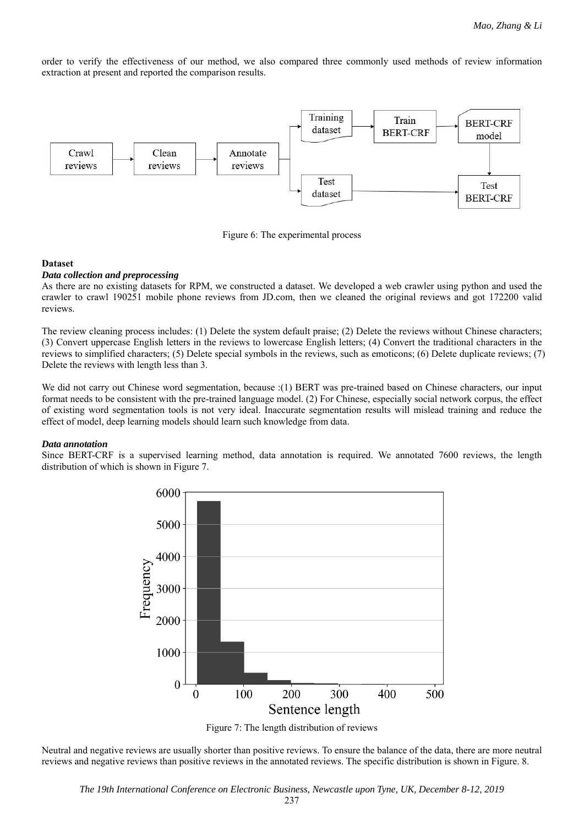order to verify the effectiveness of our method, we also compared three commonly used methods of review information extraction at present and reported the comparison results.



Figure 6: The experimental process

### **Dataset**

#### *Data collection and preprocessing*

As there are no existing datasets for RPM, we constructed a dataset. We developed a web crawler using python and used the crawler to crawl 190251 mobile phone reviews from JD.com, then we cleaned the original reviews and got 172200 valid reviews.

The review cleaning process includes: (1) Delete the system default praise; (2) Delete the reviews without Chinese characters; (3) Convert uppercase English letters in the reviews to lowercase English letters; (4) Convert the traditional characters in the reviews to simplified characters; (5) Delete special symbols in the reviews, such as emoticons; (6) Delete duplicate reviews; (7) Delete the reviews with length less than 3.

We did not carry out Chinese word segmentation, because :(1) BERT was pre-trained based on Chinese characters, our input format needs to be consistent with the pre-trained language model. (2) For Chinese, especially social network corpus, the effect of existing word segmentation tools is not very ideal. Inaccurate segmentation results will mislead training and reduce the effect of model, deep learning models should learn such knowledge from data.

## *Data annotation*

Since BERT-CRF is a supervised learning method, data annotation is required. We annotated 7600 reviews, the length distribution of which is shown in Figure 7.



Figure 7: The length distribution of reviews

Neutral and negative reviews are usually shorter than positive reviews. To ensure the balance of the data, there are more neutral reviews and negative reviews than positive reviews in the annotated reviews. The specific distribution is shown in Figure. 8.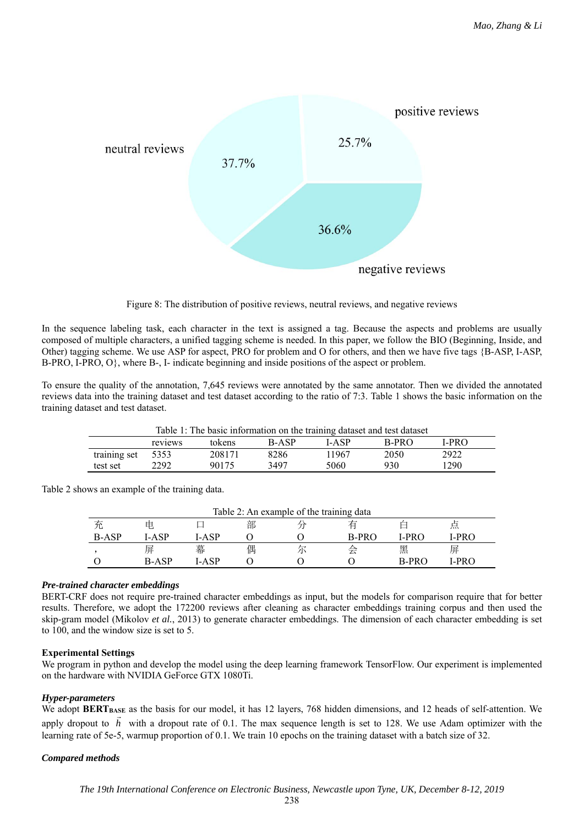

Figure 8: The distribution of positive reviews, neutral reviews, and negative reviews

In the sequence labeling task, each character in the text is assigned a tag. Because the aspects and problems are usually composed of multiple characters, a unified tagging scheme is needed. In this paper, we follow the BIO (Beginning, Inside, and Other) tagging scheme. We use ASP for aspect, PRO for problem and O for others, and then we have five tags {B-ASP, I-ASP, B-PRO, I-PRO, O}, where B-, I- indicate beginning and inside positions of the aspect or problem.

To ensure the quality of the annotation, 7,645 reviews were annotated by the same annotator. Then we divided the annotated reviews data into the training dataset and test dataset according to the ratio of 7:3. Table 1 shows the basic information on the training dataset and test dataset.

| Table 1: The basic information on the training dataset and test dataset |         |        |              |       |         |      |  |
|-------------------------------------------------------------------------|---------|--------|--------------|-------|---------|------|--|
|                                                                         | reviews | tokens | <b>B-ASP</b> | LASP  | $B-PRO$ | LPRO |  |
| training set 5353                                                       |         | 208171 | 8286         | 11967 | 2050    | 2922 |  |
| test set                                                                | 2292    | 90175  | 3497         | 5060  | 930     | 1290 |  |

Table 2 shows an example of the training data.

| Table 2: An example of the training data |              |         |   |  |         |         |        |  |  |
|------------------------------------------|--------------|---------|---|--|---------|---------|--------|--|--|
|                                          | 甲            |         | 部 |  |         |         | 息      |  |  |
| <b>B-ASP</b>                             | LA SP        | LA SP   |   |  | $R-PRO$ | '-PR∩   | LPR C  |  |  |
|                                          | 屏            | 幕       | 偶 |  |         | 黑       | 屏      |  |  |
|                                          | <b>B-ASP</b> | . A S P |   |  |         | $R-PRO$ | $-PRO$ |  |  |

## *Pre-trained character embeddings*

BERT-CRF does not require pre-trained character embeddings as input, but the models for comparison require that for better results. Therefore, we adopt the 172200 reviews after cleaning as character embeddings training corpus and then used the skip-gram model (Mikolov *et al.*, 2013) to generate character embeddings. The dimension of each character embedding is set to 100, and the window size is set to 5.

## **Experimental Settings**

We program in python and develop the model using the deep learning framework TensorFlow. Our experiment is implemented on the hardware with NVIDIA GeForce GTX 1080Ti.

# *Hyper-parameters*

We adopt **BERT** BASE as the basis for our model, it has 12 layers, 768 hidden dimensions, and 12 heads of self-attention. We apply dropout to *h* with a dropout rate of 0.1. The max sequence length is set to 128. We use Adam optimizer with the learning rate of 5e-5, warmup proportion of 0.1. We train 10 epochs on the training dataset with a batch size of 32.

# *Compared methods*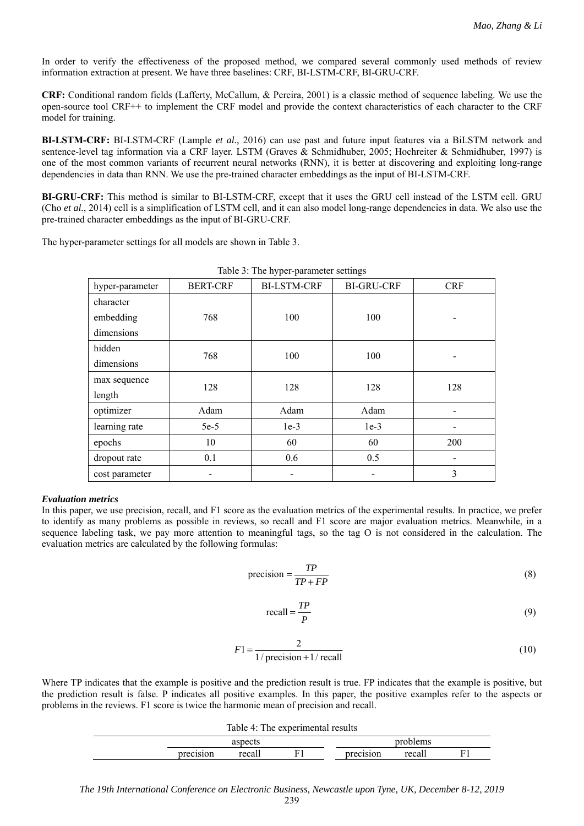In order to verify the effectiveness of the proposed method, we compared several commonly used methods of review information extraction at present. We have three baselines: CRF, BI-LSTM-CRF, BI-GRU-CRF.

**CRF:** Conditional random fields (Lafferty, McCallum, & Pereira, 2001) is a classic method of sequence labeling. We use the open-source tool CRF++ to implement the CRF model and provide the context characteristics of each character to the CRF model for training.

**BI-LSTM-CRF:** BI-LSTM-CRF (Lample *et al.*, 2016) can use past and future input features via a BiLSTM network and sentence-level tag information via a CRF layer. LSTM (Graves & Schmidhuber, 2005; Hochreiter & Schmidhuber, 1997) is one of the most common variants of recurrent neural networks (RNN), it is better at discovering and exploiting long-range dependencies in data than RNN. We use the pre-trained character embeddings as the input of BI-LSTM-CRF.

**BI-GRU-CRF:** This method is similar to BI-LSTM-CRF, except that it uses the GRU cell instead of the LSTM cell. GRU (Cho *et al.*, 2014) cell is a simplification of LSTM cell, and it can also model long-range dependencies in data. We also use the pre-trained character embeddings as the input of BI-GRU-CRF.

The hyper-parameter settings for all models are shown in Table 3.

| hyper-parameter | <b>BERT-CRF</b> | <b>BI-LSTM-CRF</b> | <b>BI-GRU-CRF</b> | <b>CRF</b> |  |
|-----------------|-----------------|--------------------|-------------------|------------|--|
| character       |                 |                    |                   |            |  |
| embedding       | 768             | 100                | 100               |            |  |
| dimensions      |                 |                    |                   |            |  |
| hidden          | 768             | 100                | 100               |            |  |
| dimensions      |                 |                    |                   |            |  |
| max sequence    | 128             | 128                | 128               | 128        |  |
| length          |                 |                    |                   |            |  |
| optimizer       | Adam            | Adam               | Adam              |            |  |
| learning rate   | $5e-5$          | $1e-3$             | $1e-3$            |            |  |
| epochs          | 10              | 60                 | 60                | 200        |  |
| dropout rate    | 0.1             | 0.6                | 0.5               |            |  |
| cost parameter  |                 |                    |                   | 3          |  |

Table 3: The hyper-parameter settings

### *Evaluation metrics*

In this paper, we use precision, recall, and F1 score as the evaluation metrics of the experimental results. In practice, we prefer to identify as many problems as possible in reviews, so recall and F1 score are major evaluation metrics. Meanwhile, in a sequence labeling task, we pay more attention to meaningful tags, so the tag O is not considered in the calculation. The evaluation metrics are calculated by the following formulas:

$$
precision = \frac{TP}{TP + FP}
$$
 (8)

$$
recall = \frac{TP}{P}
$$
 (9)

$$
F1 = \frac{2}{1/\text{precision} + 1/\text{recall}}
$$
 (10)

Where TP indicates that the example is positive and the prediction result is true. FP indicates that the example is positive, but the prediction result is false. P indicates all positive examples. In this paper, the positive examples refer to the aspects or problems in the reviews. F1 score is twice the harmonic mean of precision and recall.

|           | Table 4: The experimental results |  |           |        |  |
|-----------|-----------------------------------|--|-----------|--------|--|
| aspects   |                                   |  | problems  |        |  |
| precision | recall                            |  | precision | recall |  |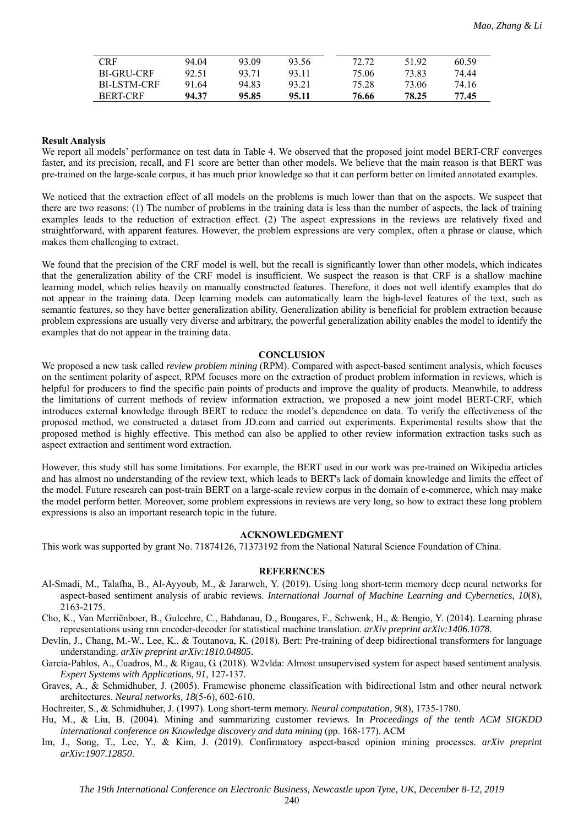| CRF                | 94.04 | 93.09 | 93.56 | 72.72 | 51.92 | 60.59 |
|--------------------|-------|-------|-------|-------|-------|-------|
| BL-GRU-CRE         | 92.51 | 93.71 | 93.11 | 75.06 | 73.83 | 74.44 |
| <b>BI-LSTM-CRF</b> | 91.64 | 94.83 | 93.21 | 75.28 | 73.06 | 74.16 |
| BERT-CRF           | 94.37 | 95.85 | 95.11 | 76.66 | 78.25 | 77.45 |

#### **Result Analysis**

We report all models' performance on test data in Table 4. We observed that the proposed joint model BERT-CRF converges faster, and its precision, recall, and F1 score are better than other models. We believe that the main reason is that BERT was pre-trained on the large-scale corpus, it has much prior knowledge so that it can perform better on limited annotated examples.

We noticed that the extraction effect of all models on the problems is much lower than that on the aspects. We suspect that there are two reasons: (1) The number of problems in the training data is less than the number of aspects, the lack of training examples leads to the reduction of extraction effect. (2) The aspect expressions in the reviews are relatively fixed and straightforward, with apparent features. However, the problem expressions are very complex, often a phrase or clause, which makes them challenging to extract.

We found that the precision of the CRF model is well, but the recall is significantly lower than other models, which indicates that the generalization ability of the CRF model is insufficient. We suspect the reason is that CRF is a shallow machine learning model, which relies heavily on manually constructed features. Therefore, it does not well identify examples that do not appear in the training data. Deep learning models can automatically learn the high-level features of the text, such as semantic features, so they have better generalization ability. Generalization ability is beneficial for problem extraction because problem expressions are usually very diverse and arbitrary, the powerful generalization ability enables the model to identify the examples that do not appear in the training data.

#### **CONCLUSION**

We proposed a new task called *review problem mining* (RPM). Compared with aspect-based sentiment analysis, which focuses on the sentiment polarity of aspect, RPM focuses more on the extraction of product problem information in reviews, which is helpful for producers to find the specific pain points of products and improve the quality of products. Meanwhile, to address the limitations of current methods of review information extraction, we proposed a new joint model BERT-CRF, which introduces external knowledge through BERT to reduce the model's dependence on data. To verify the effectiveness of the proposed method, we constructed a dataset from JD.com and carried out experiments. Experimental results show that the proposed method is highly effective. This method can also be applied to other review information extraction tasks such as aspect extraction and sentiment word extraction.

However, this study still has some limitations. For example, the BERT used in our work was pre-trained on Wikipedia articles and has almost no understanding of the review text, which leads to BERT's lack of domain knowledge and limits the effect of the model. Future research can post-train BERT on a large-scale review corpus in the domain of e-commerce, which may make the model perform better. Moreover, some problem expressions in reviews are very long, so how to extract these long problem expressions is also an important research topic in the future.

#### **ACKNOWLEDGMENT**

This work was supported by grant No. 71874126, 71373192 from the National Natural Science Foundation of China.

#### **REFERENCES**

- Al-Smadi, M., Talafha, B., Al-Ayyoub, M., & Jararweh, Y. (2019). Using long short-term memory deep neural networks for aspect-based sentiment analysis of arabic reviews. *International Journal of Machine Learning and Cybernetics, 10*(8), 2163-2175.
- Cho, K., Van Merriënboer, B., Gulcehre, C., Bahdanau, D., Bougares, F., Schwenk, H., & Bengio, Y. (2014). Learning phrase representations using rnn encoder-decoder for statistical machine translation. *arXiv preprint arXiv:1406.1078*.
- Devlin, J., Chang, M.-W., Lee, K., & Toutanova, K. (2018). Bert: Pre-training of deep bidirectional transformers for language understanding. *arXiv preprint arXiv:1810.04805*.
- García-Pablos, A., Cuadros, M., & Rigau, G. (2018). W2vlda: Almost unsupervised system for aspect based sentiment analysis. *Expert Systems with Applications, 91*, 127-137.
- Graves, A., & Schmidhuber, J. (2005). Framewise phoneme classification with bidirectional lstm and other neural network architectures. *Neural networks, 18*(5-6), 602-610.

Hochreiter, S., & Schmidhuber, J. (1997). Long short-term memory. *Neural computation, 9*(8), 1735-1780.

- Hu, M., & Liu, B. (2004). Mining and summarizing customer reviews*.* In *Proceedings of the tenth ACM SIGKDD international conference on Knowledge discovery and data mining* (pp. 168-177). ACM
- Im, J., Song, T., Lee, Y., & Kim, J. (2019). Confirmatory aspect-based opinion mining processes. *arXiv preprint arXiv:1907.12850*.